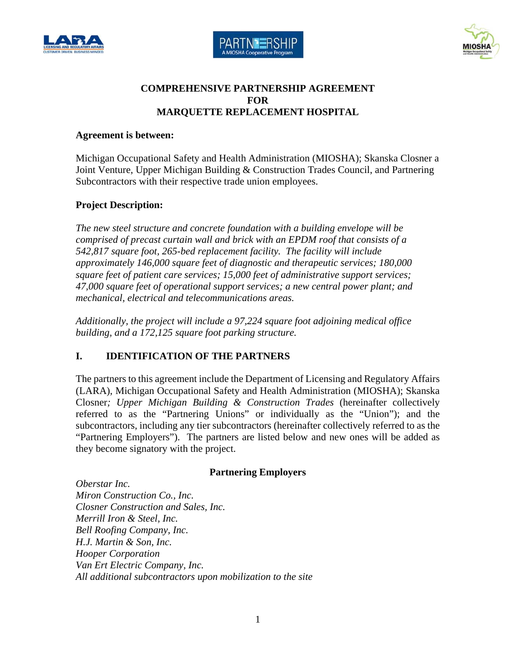





### **COMPREHENSIVE PARTNERSHIP AGREEMENT FOR MARQUETTE REPLACEMENT HOSPITAL**

#### **Agreement is between:**

Michigan Occupational Safety and Health Administration (MIOSHA); Skanska Closner a Joint Venture, Upper Michigan Building & Construction Trades Council, and Partnering Subcontractors with their respective trade union employees.

### **Project Description:**

*The new steel structure and concrete foundation with a building envelope will be comprised of precast curtain wall and brick with an EPDM roof that consists of a 542,817 square foot, 265-bed replacement facility. The facility will include approximately 146,000 square feet of diagnostic and therapeutic services; 180,000 square feet of patient care services; 15,000 feet of administrative support services; 47,000 square feet of operational support services; a new central power plant; and mechanical, electrical and telecommunications areas.* 

*Additionally, the project will include a 97,224 square foot adjoining medical office building, and a 172,125 square foot parking structure.* 

# **I. IDENTIFICATION OF THE PARTNERS**

The partners to this agreement include the Department of Licensing and Regulatory Affairs (LARA), Michigan Occupational Safety and Health Administration (MIOSHA); Skanska Closner*; Upper Michigan Building & Construction Trades* (hereinafter collectively referred to as the "Partnering Unions" or individually as the "Union"); and the subcontractors, including any tier subcontractors (hereinafter collectively referred to as the "Partnering Employers"). The partners are listed below and new ones will be added as they become signatory with the project.

### **Partnering Employers**

*Oberstar Inc. Miron Construction Co., Inc. Closner Construction and Sales, Inc. Merrill Iron & Steel, Inc. Bell Roofing Company, Inc. H.J. Martin & Son, Inc. Hooper Corporation Van Ert Electric Company, Inc. All additional subcontractors upon mobilization to the site*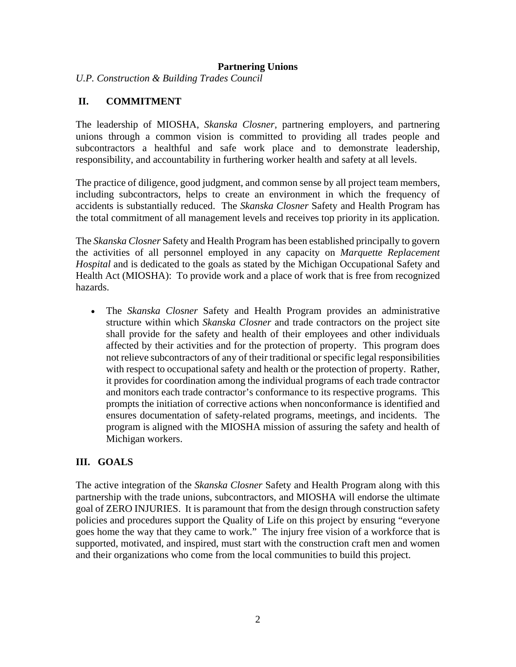#### **Partnering Unions**

*U.P. Construction & Building Trades Council* 

#### **II. COMMITMENT**

The leadership of MIOSHA, *Skanska Closner*, partnering employers, and partnering unions through a common vision is committed to providing all trades people and subcontractors a healthful and safe work place and to demonstrate leadership, responsibility, and accountability in furthering worker health and safety at all levels.

The practice of diligence, good judgment, and common sense by all project team members, including subcontractors, helps to create an environment in which the frequency of accidents is substantially reduced. The *Skanska Closner* Safety and Health Program has the total commitment of all management levels and receives top priority in its application.

The *Skanska Closner* Safety and Health Program has been established principally to govern the activities of all personnel employed in any capacity on *Marquette Replacement Hospital* and is dedicated to the goals as stated by the Michigan Occupational Safety and Health Act (MIOSHA): To provide work and a place of work that is free from recognized hazards.

 The *Skanska Closner* Safety and Health Program provides an administrative structure within which *Skanska Closner* and trade contractors on the project site shall provide for the safety and health of their employees and other individuals affected by their activities and for the protection of property. This program does not relieve subcontractors of any of their traditional or specific legal responsibilities with respect to occupational safety and health or the protection of property. Rather, it provides for coordination among the individual programs of each trade contractor and monitors each trade contractor's conformance to its respective programs. This prompts the initiation of corrective actions when nonconformance is identified and ensures documentation of safety-related programs, meetings, and incidents. The program is aligned with the MIOSHA mission of assuring the safety and health of Michigan workers.

### **III. GOALS**

The active integration of the *Skanska Closner* Safety and Health Program along with this partnership with the trade unions, subcontractors, and MIOSHA will endorse the ultimate goal of ZERO INJURIES. It is paramount that from the design through construction safety policies and procedures support the Quality of Life on this project by ensuring "everyone goes home the way that they came to work." The injury free vision of a workforce that is supported, motivated, and inspired, must start with the construction craft men and women and their organizations who come from the local communities to build this project.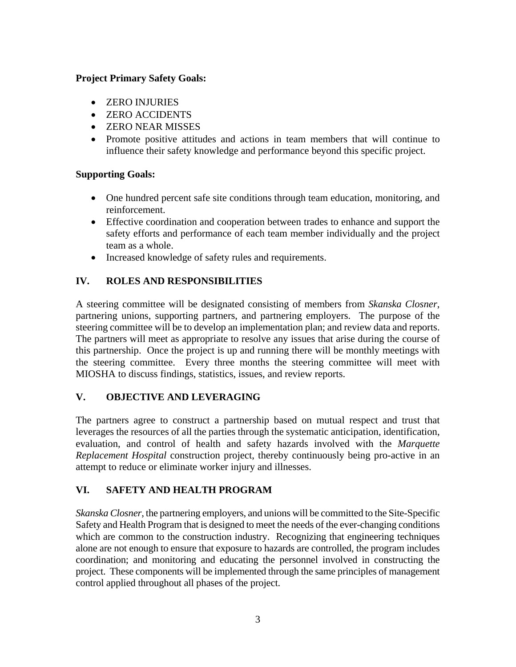#### **Project Primary Safety Goals:**

- ZERO INJURIES
- ZERO ACCIDENTS
- ZERO NEAR MISSES
- Promote positive attitudes and actions in team members that will continue to influence their safety knowledge and performance beyond this specific project.

### **Supporting Goals:**

- One hundred percent safe site conditions through team education, monitoring, and reinforcement.
- Effective coordination and cooperation between trades to enhance and support the safety efforts and performance of each team member individually and the project team as a whole.
- Increased knowledge of safety rules and requirements.

### **IV. ROLES AND RESPONSIBILITIES**

A steering committee will be designated consisting of members from *Skanska Closner*, partnering unions, supporting partners, and partnering employers. The purpose of the steering committee will be to develop an implementation plan; and review data and reports. The partners will meet as appropriate to resolve any issues that arise during the course of this partnership. Once the project is up and running there will be monthly meetings with the steering committee. Every three months the steering committee will meet with MIOSHA to discuss findings, statistics, issues, and review reports.

### **V. OBJECTIVE AND LEVERAGING**

The partners agree to construct a partnership based on mutual respect and trust that leverages the resources of all the parties through the systematic anticipation, identification, evaluation, and control of health and safety hazards involved with the *Marquette Replacement Hospital* construction project, thereby continuously being pro-active in an attempt to reduce or eliminate worker injury and illnesses.

# **VI. SAFETY AND HEALTH PROGRAM**

*Skanska Closner*, the partnering employers, and unions will be committed to the Site-Specific Safety and Health Program that is designed to meet the needs of the ever-changing conditions which are common to the construction industry. Recognizing that engineering techniques alone are not enough to ensure that exposure to hazards are controlled, the program includes coordination; and monitoring and educating the personnel involved in constructing the project. These components will be implemented through the same principles of management control applied throughout all phases of the project.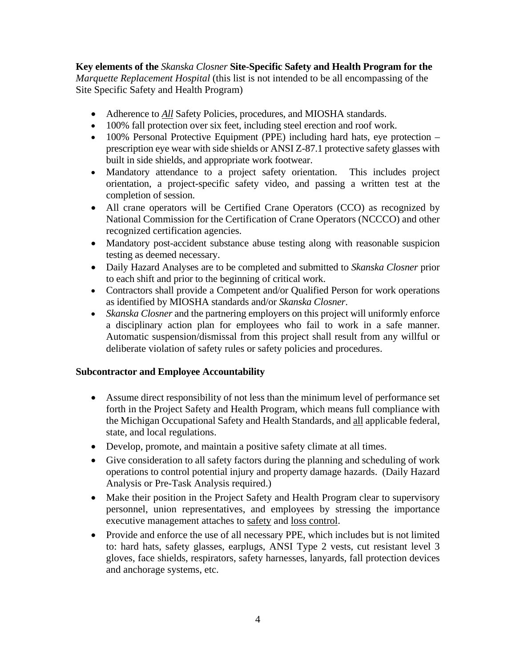#### **Key elements of the** *Skanska Closner* **Site-Specific Safety and Health Program for the** *Marquette Replacement Hospital* (this list is not intended to be all encompassing of the Site Specific Safety and Health Program)

- Adherence to **All** Safety Policies, procedures, and MIOSHA standards.
- 100% fall protection over six feet, including steel erection and roof work.
- 100% Personal Protective Equipment (PPE) including hard hats, eye protection prescription eye wear with side shields or ANSI Z-87.1 protective safety glasses with built in side shields, and appropriate work footwear.
- Mandatory attendance to a project safety orientation. This includes project orientation, a project-specific safety video, and passing a written test at the completion of session.
- All crane operators will be Certified Crane Operators (CCO) as recognized by National Commission for the Certification of Crane Operators (NCCCO) and other recognized certification agencies.
- Mandatory post-accident substance abuse testing along with reasonable suspicion testing as deemed necessary.
- Daily Hazard Analyses are to be completed and submitted to *Skanska Closner* prior to each shift and prior to the beginning of critical work.
- Contractors shall provide a Competent and/or Qualified Person for work operations as identified by MIOSHA standards and/or *Skanska Closner*.
- *Skanska Closner* and the partnering employers on this project will uniformly enforce a disciplinary action plan for employees who fail to work in a safe manner. Automatic suspension/dismissal from this project shall result from any willful or deliberate violation of safety rules or safety policies and procedures.

#### **Subcontractor and Employee Accountability**

- Assume direct responsibility of not less than the minimum level of performance set forth in the Project Safety and Health Program, which means full compliance with the Michigan Occupational Safety and Health Standards, and all applicable federal, state, and local regulations.
- Develop, promote, and maintain a positive safety climate at all times.
- Give consideration to all safety factors during the planning and scheduling of work operations to control potential injury and property damage hazards. (Daily Hazard Analysis or Pre-Task Analysis required.)
- Make their position in the Project Safety and Health Program clear to supervisory personnel, union representatives, and employees by stressing the importance executive management attaches to safety and loss control.
- Provide and enforce the use of all necessary PPE, which includes but is not limited to: hard hats, safety glasses, earplugs, ANSI Type 2 vests, cut resistant level 3 gloves, face shields, respirators, safety harnesses, lanyards, fall protection devices and anchorage systems, etc.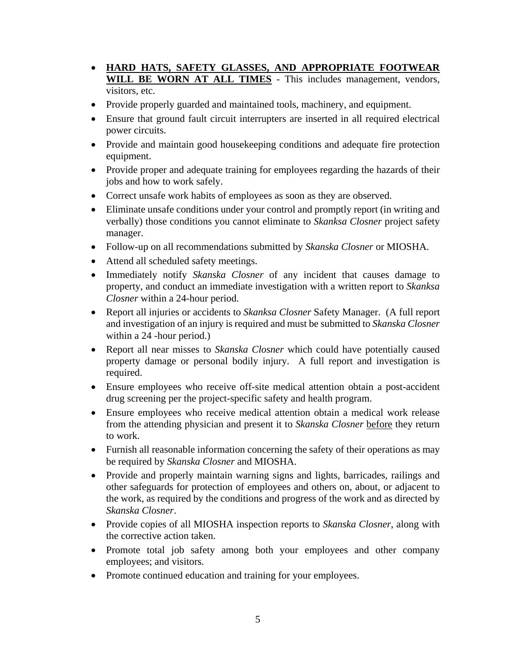- **HARD HATS, SAFETY GLASSES, AND APPROPRIATE FOOTWEAR WILL BE WORN AT ALL TIMES** - This includes management, vendors, visitors, etc.
- Provide properly guarded and maintained tools, machinery, and equipment.
- Ensure that ground fault circuit interrupters are inserted in all required electrical power circuits.
- Provide and maintain good housekeeping conditions and adequate fire protection equipment.
- Provide proper and adequate training for employees regarding the hazards of their jobs and how to work safely.
- Correct unsafe work habits of employees as soon as they are observed.
- Eliminate unsafe conditions under your control and promptly report (in writing and verbally) those conditions you cannot eliminate to *Skanksa Closner* project safety manager.
- Follow-up on all recommendations submitted by *Skanska Closner* or MIOSHA.
- Attend all scheduled safety meetings.
- Immediately notify *Skanska Closner* of any incident that causes damage to property, and conduct an immediate investigation with a written report to *Skanksa Closner* within a 24-hour period.
- Report all injuries or accidents to *Skanksa Closner* Safety Manager. (A full report and investigation of an injury is required and must be submitted to *Skanska Closner*  within a 24 -hour period.)
- Report all near misses to *Skanska Closner* which could have potentially caused property damage or personal bodily injury. A full report and investigation is required.
- Ensure employees who receive off-site medical attention obtain a post-accident drug screening per the project-specific safety and health program.
- Ensure employees who receive medical attention obtain a medical work release from the attending physician and present it to *Skanska Closner* before they return to work.
- Furnish all reasonable information concerning the safety of their operations as may be required by *Skanska Closner* and MIOSHA.
- Provide and properly maintain warning signs and lights, barricades, railings and other safeguards for protection of employees and others on, about, or adjacent to the work, as required by the conditions and progress of the work and as directed by *Skanska Closner*.
- Provide copies of all MIOSHA inspection reports to *Skanska Closner*, along with the corrective action taken.
- Promote total job safety among both your employees and other company employees; and visitors.
- Promote continued education and training for your employees.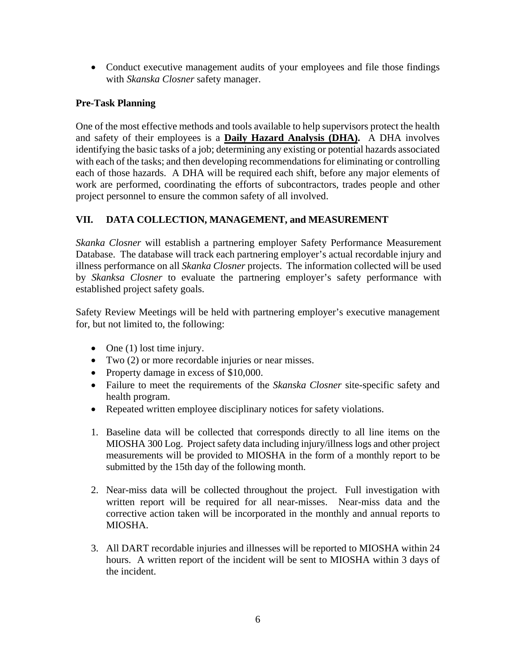• Conduct executive management audits of your employees and file those findings with *Skanska Closner* safety manager.

### **Pre-Task Planning**

One of the most effective methods and tools available to help supervisors protect the health and safety of their employees is a **Daily Hazard Analysis (DHA).** A DHA involves identifying the basic tasks of a job; determining any existing or potential hazards associated with each of the tasks; and then developing recommendations for eliminating or controlling each of those hazards. A DHA will be required each shift, before any major elements of work are performed, coordinating the efforts of subcontractors, trades people and other project personnel to ensure the common safety of all involved.

# **VII. DATA COLLECTION, MANAGEMENT, and MEASUREMENT**

*Skanka Closner* will establish a partnering employer Safety Performance Measurement Database. The database will track each partnering employer's actual recordable injury and illness performance on all *Skanka Closner* projects. The information collected will be used by *Skanksa Closner* to evaluate the partnering employer's safety performance with established project safety goals.

Safety Review Meetings will be held with partnering employer's executive management for, but not limited to, the following:

- $\bullet$  One (1) lost time injury.
- Two (2) or more recordable injuries or near misses.
- Property damage in excess of \$10,000.
- Failure to meet the requirements of the *Skanska Closner* site-specific safety and health program.
- Repeated written employee disciplinary notices for safety violations.
- 1. Baseline data will be collected that corresponds directly to all line items on the MIOSHA 300 Log. Project safety data including injury/illness logs and other project measurements will be provided to MIOSHA in the form of a monthly report to be submitted by the 15th day of the following month.
- 2. Near-miss data will be collected throughout the project. Full investigation with written report will be required for all near-misses. Near-miss data and the corrective action taken will be incorporated in the monthly and annual reports to MIOSHA.
- 3. All DART recordable injuries and illnesses will be reported to MIOSHA within 24 hours. A written report of the incident will be sent to MIOSHA within 3 days of the incident.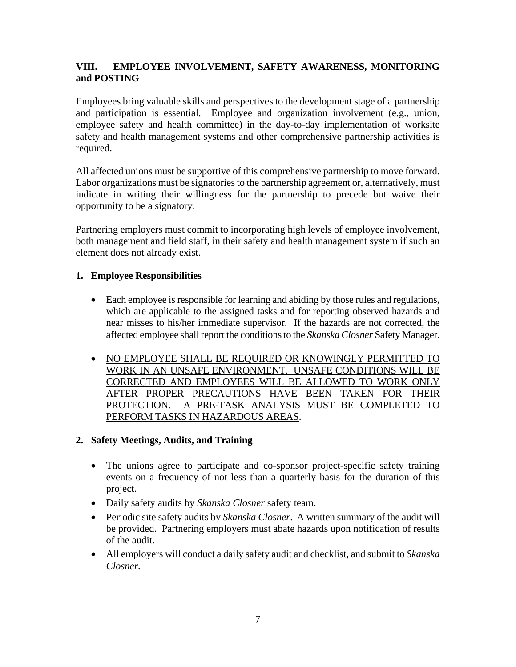### **VIII. EMPLOYEE INVOLVEMENT, SAFETY AWARENESS, MONITORING and POSTING**

Employees bring valuable skills and perspectives to the development stage of a partnership and participation is essential. Employee and organization involvement (e.g., union, employee safety and health committee) in the day-to-day implementation of worksite safety and health management systems and other comprehensive partnership activities is required.

All affected unions must be supportive of this comprehensive partnership to move forward. Labor organizations must be signatories to the partnership agreement or, alternatively, must indicate in writing their willingness for the partnership to precede but waive their opportunity to be a signatory.

Partnering employers must commit to incorporating high levels of employee involvement, both management and field staff, in their safety and health management system if such an element does not already exist.

### **1. Employee Responsibilities**

- Each employee is responsible for learning and abiding by those rules and regulations, which are applicable to the assigned tasks and for reporting observed hazards and near misses to his/her immediate supervisor. If the hazards are not corrected, the affected employee shall report the conditions to the *Skanska Closner* Safety Manager.
- NO EMPLOYEE SHALL BE REQUIRED OR KNOWINGLY PERMITTED TO WORK IN AN UNSAFE ENVIRONMENT. UNSAFE CONDITIONS WILL BE CORRECTED AND EMPLOYEES WILL BE ALLOWED TO WORK ONLY AFTER PROPER PRECAUTIONS HAVE BEEN TAKEN FOR THEIR PROTECTION. A PRE-TASK ANALYSIS MUST BE COMPLETED TO PERFORM TASKS IN HAZARDOUS AREAS.

### **2. Safety Meetings, Audits, and Training**

- The unions agree to participate and co-sponsor project-specific safety training events on a frequency of not less than a quarterly basis for the duration of this project.
- Daily safety audits by *Skanska Closner* safety team.
- Periodic site safety audits by *Skanska Closner*. A written summary of the audit will be provided. Partnering employers must abate hazards upon notification of results of the audit.
- All employers will conduct a daily safety audit and checklist, and submit to *Skanska Closner.*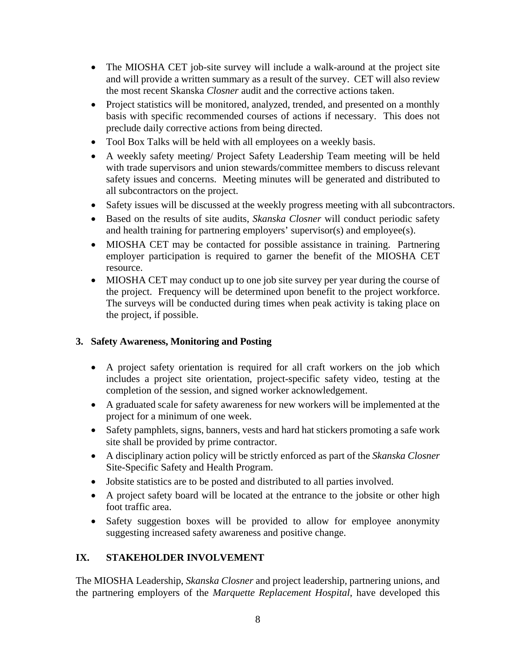- The MIOSHA CET job-site survey will include a walk-around at the project site and will provide a written summary as a result of the survey. CET will also review the most recent Skanska *Closner* audit and the corrective actions taken.
- Project statistics will be monitored, analyzed, trended, and presented on a monthly basis with specific recommended courses of actions if necessary. This does not preclude daily corrective actions from being directed.
- Tool Box Talks will be held with all employees on a weekly basis.
- A weekly safety meeting/ Project Safety Leadership Team meeting will be held with trade supervisors and union stewards/committee members to discuss relevant safety issues and concerns. Meeting minutes will be generated and distributed to all subcontractors on the project.
- Safety issues will be discussed at the weekly progress meeting with all subcontractors.
- Based on the results of site audits, *Skanska Closner* will conduct periodic safety and health training for partnering employers' supervisor(s) and employee(s).
- MIOSHA CET may be contacted for possible assistance in training. Partnering employer participation is required to garner the benefit of the MIOSHA CET resource.
- MIOSHA CET may conduct up to one job site survey per year during the course of the project. Frequency will be determined upon benefit to the project workforce. The surveys will be conducted during times when peak activity is taking place on the project, if possible.

### **3. Safety Awareness, Monitoring and Posting**

- A project safety orientation is required for all craft workers on the job which includes a project site orientation, project-specific safety video, testing at the completion of the session, and signed worker acknowledgement.
- A graduated scale for safety awareness for new workers will be implemented at the project for a minimum of one week.
- Safety pamphlets, signs, banners, vests and hard hat stickers promoting a safe work site shall be provided by prime contractor.
- A disciplinary action policy will be strictly enforced as part of the *Skanska Closner* Site-Specific Safety and Health Program.
- Jobsite statistics are to be posted and distributed to all parties involved.
- A project safety board will be located at the entrance to the jobsite or other high foot traffic area.
- Safety suggestion boxes will be provided to allow for employee anonymity suggesting increased safety awareness and positive change.

# **IX. STAKEHOLDER INVOLVEMENT**

The MIOSHA Leadership, *Skanska Closner* and project leadership, partnering unions, and the partnering employers of the *Marquette Replacement Hospital*, have developed this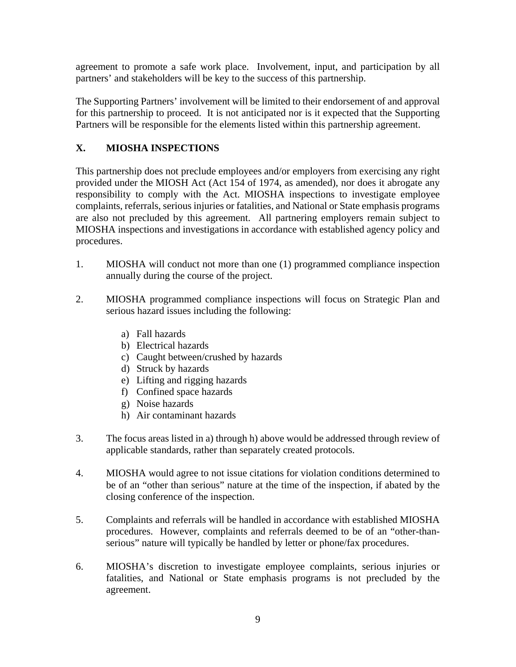agreement to promote a safe work place. Involvement, input, and participation by all partners' and stakeholders will be key to the success of this partnership.

The Supporting Partners' involvement will be limited to their endorsement of and approval for this partnership to proceed. It is not anticipated nor is it expected that the Supporting Partners will be responsible for the elements listed within this partnership agreement.

# **X. MIOSHA INSPECTIONS**

This partnership does not preclude employees and/or employers from exercising any right provided under the MIOSH Act (Act 154 of 1974, as amended), nor does it abrogate any responsibility to comply with the Act. MIOSHA inspections to investigate employee complaints, referrals, serious injuries or fatalities, and National or State emphasis programs are also not precluded by this agreement. All partnering employers remain subject to MIOSHA inspections and investigations in accordance with established agency policy and procedures.

- 1. MIOSHA will conduct not more than one (1) programmed compliance inspection annually during the course of the project.
- 2. MIOSHA programmed compliance inspections will focus on Strategic Plan and serious hazard issues including the following:
	- a) Fall hazards
	- b) Electrical hazards
	- c) Caught between/crushed by hazards
	- d) Struck by hazards
	- e) Lifting and rigging hazards
	- f) Confined space hazards
	- g) Noise hazards
	- h) Air contaminant hazards
- 3. The focus areas listed in a) through h) above would be addressed through review of applicable standards, rather than separately created protocols.
- 4. MIOSHA would agree to not issue citations for violation conditions determined to be of an "other than serious" nature at the time of the inspection, if abated by the closing conference of the inspection.
- 5. Complaints and referrals will be handled in accordance with established MIOSHA procedures. However, complaints and referrals deemed to be of an "other-thanserious" nature will typically be handled by letter or phone/fax procedures.
- 6. MIOSHA's discretion to investigate employee complaints, serious injuries or fatalities, and National or State emphasis programs is not precluded by the agreement.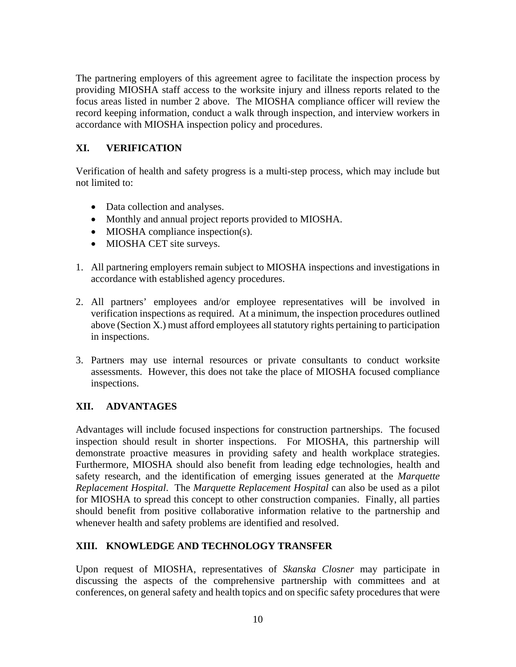The partnering employers of this agreement agree to facilitate the inspection process by providing MIOSHA staff access to the worksite injury and illness reports related to the focus areas listed in number 2 above. The MIOSHA compliance officer will review the record keeping information, conduct a walk through inspection, and interview workers in accordance with MIOSHA inspection policy and procedures.

# **XI. VERIFICATION**

Verification of health and safety progress is a multi-step process, which may include but not limited to:

- Data collection and analyses.
- Monthly and annual project reports provided to MIOSHA.
- MIOSHA compliance inspection(s).
- MIOSHA CET site surveys.
- 1. All partnering employers remain subject to MIOSHA inspections and investigations in accordance with established agency procedures.
- 2. All partners' employees and/or employee representatives will be involved in verification inspections as required. At a minimum, the inspection procedures outlined above (Section X.) must afford employees all statutory rights pertaining to participation in inspections.
- 3. Partners may use internal resources or private consultants to conduct worksite assessments. However, this does not take the place of MIOSHA focused compliance inspections.

# **XII. ADVANTAGES**

Advantages will include focused inspections for construction partnerships. The focused inspection should result in shorter inspections. For MIOSHA, this partnership will demonstrate proactive measures in providing safety and health workplace strategies. Furthermore, MIOSHA should also benefit from leading edge technologies, health and safety research, and the identification of emerging issues generated at the *Marquette Replacement Hospital*. The *Marquette Replacement Hospital* can also be used as a pilot for MIOSHA to spread this concept to other construction companies. Finally, all parties should benefit from positive collaborative information relative to the partnership and whenever health and safety problems are identified and resolved.

### **XIII. KNOWLEDGE AND TECHNOLOGY TRANSFER**

Upon request of MIOSHA, representatives of *Skanska Closner* may participate in discussing the aspects of the comprehensive partnership with committees and at conferences, on general safety and health topics and on specific safety procedures that were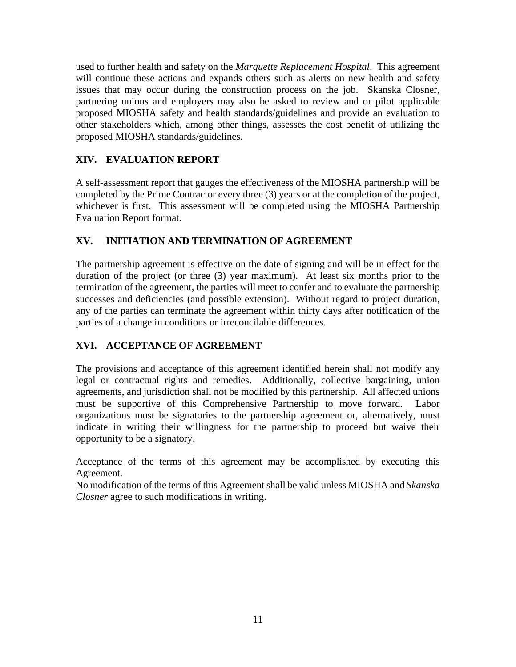used to further health and safety on the *Marquette Replacement Hospital*. This agreement will continue these actions and expands others such as alerts on new health and safety issues that may occur during the construction process on the job. Skanska Closner, partnering unions and employers may also be asked to review and or pilot applicable proposed MIOSHA safety and health standards/guidelines and provide an evaluation to other stakeholders which, among other things, assesses the cost benefit of utilizing the proposed MIOSHA standards/guidelines.

# **XIV. EVALUATION REPORT**

A self-assessment report that gauges the effectiveness of the MIOSHA partnership will be completed by the Prime Contractor every three (3) years or at the completion of the project, whichever is first. This assessment will be completed using the MIOSHA Partnership Evaluation Report format.

# **XV. INITIATION AND TERMINATION OF AGREEMENT**

The partnership agreement is effective on the date of signing and will be in effect for the duration of the project (or three (3) year maximum). At least six months prior to the termination of the agreement, the parties will meet to confer and to evaluate the partnership successes and deficiencies (and possible extension). Without regard to project duration, any of the parties can terminate the agreement within thirty days after notification of the parties of a change in conditions or irreconcilable differences.

# **XVI. ACCEPTANCE OF AGREEMENT**

The provisions and acceptance of this agreement identified herein shall not modify any legal or contractual rights and remedies. Additionally, collective bargaining, union agreements, and jurisdiction shall not be modified by this partnership. All affected unions must be supportive of this Comprehensive Partnership to move forward. Labor organizations must be signatories to the partnership agreement or, alternatively, must indicate in writing their willingness for the partnership to proceed but waive their opportunity to be a signatory.

Acceptance of the terms of this agreement may be accomplished by executing this Agreement.

No modification of the terms of this Agreement shall be valid unless MIOSHA and *Skanska Closner* agree to such modifications in writing.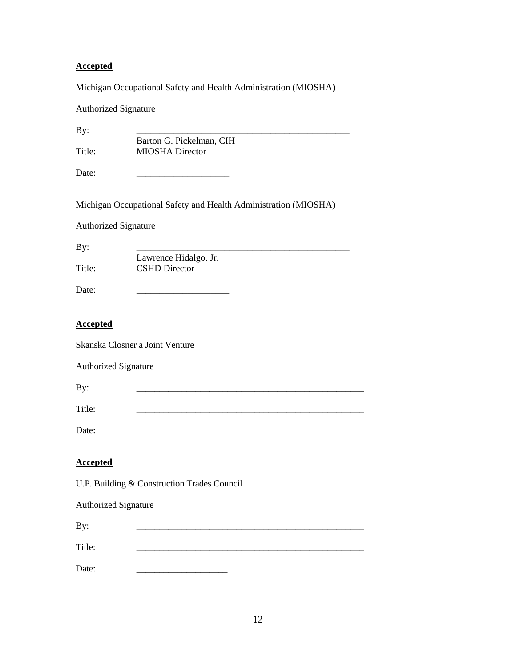### **Accepted**

Michigan Occupational Safety and Health Administration (MIOSHA)

| <b>Authorized Signature</b> |                                                                 |
|-----------------------------|-----------------------------------------------------------------|
| By:                         |                                                                 |
| Title:                      | Barton G. Pickelman, CIH<br><b>MIOSHA</b> Director              |
| Date:                       |                                                                 |
|                             | Michigan Occupational Safety and Health Administration (MIOSHA) |
| <b>Authorized Signature</b> |                                                                 |
| By:                         |                                                                 |
| Title:                      | Lawrence Hidalgo, Jr.<br><b>CSHD</b> Director                   |
| Date:                       |                                                                 |
| <b>Accepted</b>             |                                                                 |
|                             | Skanska Closner a Joint Venture                                 |
| <b>Authorized Signature</b> |                                                                 |
| By:                         |                                                                 |
| Title:                      |                                                                 |
| Date:                       |                                                                 |
| <b>Accepted</b>             |                                                                 |
|                             | U.P. Building & Construction Trades Council                     |
| <b>Authorized Signature</b> |                                                                 |
| By:                         |                                                                 |
| Title:                      |                                                                 |

Date: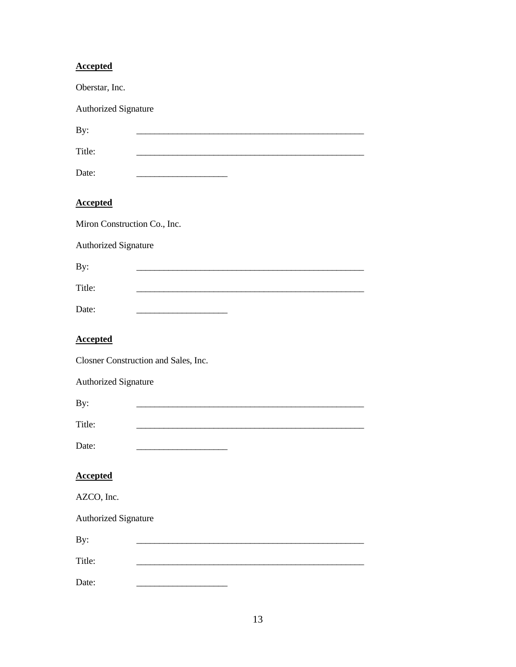| <b>Accepted</b>              |                                                   |
|------------------------------|---------------------------------------------------|
| Oberstar, Inc.               |                                                   |
| Authorized Signature         |                                                   |
| By:                          |                                                   |
| Title:                       |                                                   |
| Date:                        | <u> 1980 - Johann Barbara, martxa alemaniar a</u> |
| <b>Accepted</b>              |                                                   |
| Miron Construction Co., Inc. |                                                   |
| Authorized Signature         |                                                   |
| By:                          |                                                   |
| Title:                       |                                                   |
| Date:                        |                                                   |
| <b>Accepted</b>              |                                                   |
|                              | Closner Construction and Sales, Inc.              |
| Authorized Signature         |                                                   |
| By:                          |                                                   |
| Title:                       |                                                   |
| Date:                        |                                                   |
| <b>Accepted</b>              |                                                   |
| AZCO, Inc.                   |                                                   |
| <b>Authorized Signature</b>  |                                                   |
| By:                          |                                                   |
| Title:                       |                                                   |
| Date:                        |                                                   |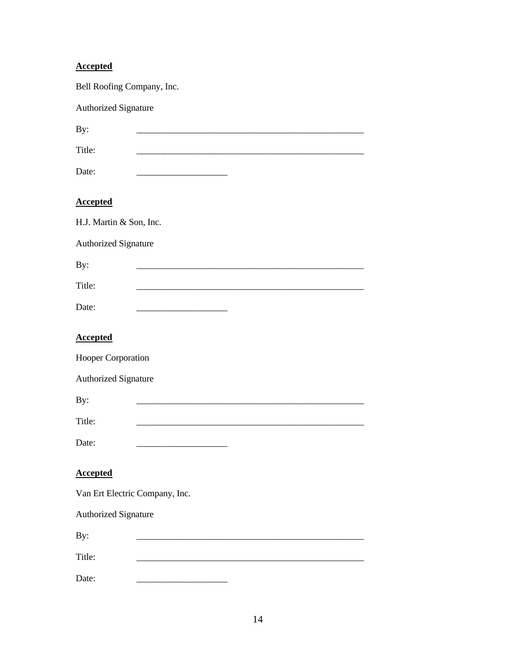# **Accepted**

| Bell Roofing Company, Inc.     |                                         |
|--------------------------------|-----------------------------------------|
| Authorized Signature           |                                         |
| By:                            |                                         |
| Title:                         |                                         |
| Date:                          |                                         |
| <b>Accepted</b>                |                                         |
| H.J. Martin & Son, Inc.        |                                         |
| Authorized Signature           |                                         |
| By:                            |                                         |
| Title:                         |                                         |
| Date:                          | <u> 1989 - Johann Barbara, martin a</u> |
| <b>Accepted</b>                |                                         |
| Hooper Corporation             |                                         |
| Authorized Signature           |                                         |
| By:                            |                                         |
| Title:                         |                                         |
| Date:                          |                                         |
| <b>Accepted</b>                |                                         |
| Van Ert Electric Company, Inc. |                                         |
| <b>Authorized Signature</b>    |                                         |
| By:                            |                                         |
| Title:                         |                                         |
| Date:                          |                                         |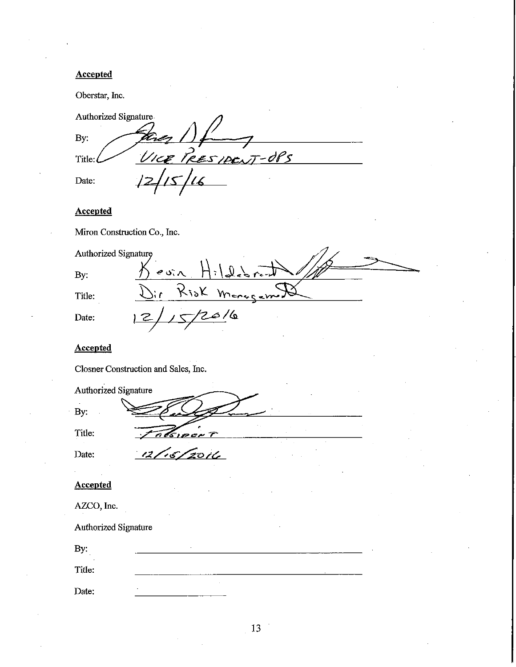#### **Accepted**

Oberstar, Inc.

Authorized Signature. By: S'<br>RESIDENT-OPS VICE Title: Date:

# Accepted

Miron Construction Co., Inc.

| Authorized Signature |                 |
|----------------------|-----------------|
| By:                  | evin Hildebrant |
| Title:               | Risk Monagamt   |
| Date:                | 6 /b            |

#### **Accepted**

Authorized Signature

Closner Construction and Sales, Inc.

By:

Title:

Date:

#### **Accepted**

| AZCO. Inc. |  |
|------------|--|
|            |  |

Authorized Signature

| By:    |    |        |  |
|--------|----|--------|--|
| Title: |    |        |  |
| Date:  | ٠. | $\sim$ |  |

سرے میر د

15/2016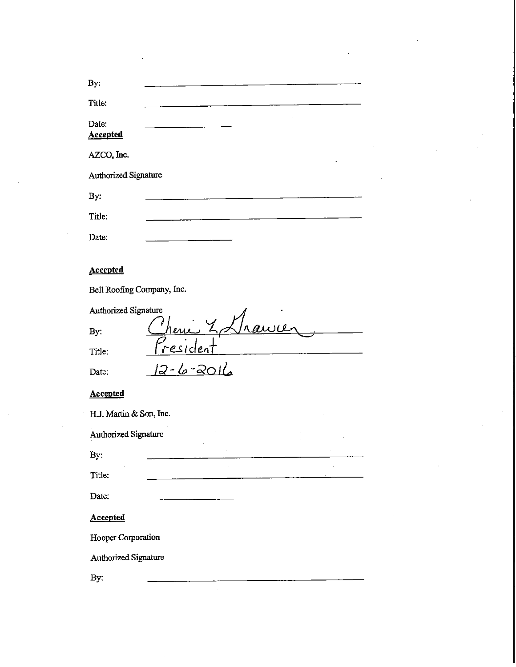| By:                               |
|-----------------------------------|
| Title:                            |
| Date:                             |
| <b>Accepted</b>                   |
| AZCO, Inc.                        |
| Authorized Signature              |
| By:                               |
| Title:                            |
| Date:                             |
|                                   |
| <b>Accepted</b>                   |
| Bell Roofing Company, Inc.        |
| Authorized Signature              |
| awa<br>heri<br>By:                |
| <u>resident</u><br>Title:         |
| <u>12-6-2016</u><br>Date:         |
| <b>Accepted</b>                   |
| H.J. Martin & Son, Inc.<br>$\sim$ |
| Authorized Signature              |
| By:                               |
| Title:                            |
| Date:                             |
| Accepted                          |
| Hooper Corporation                |
| Authorized Signature              |
| By:                               |
|                                   |